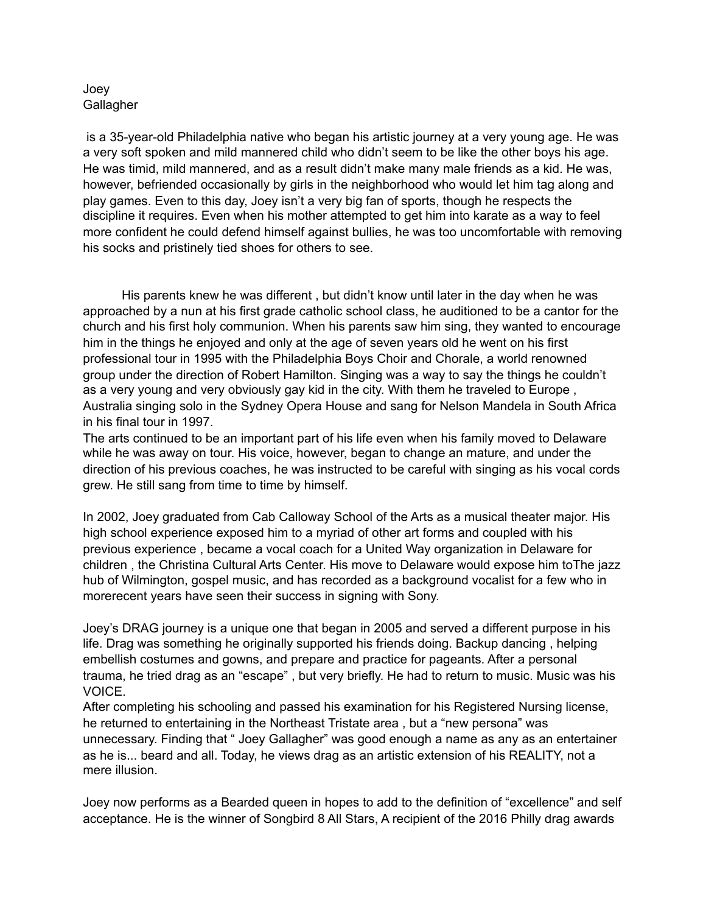## Joey **Gallagher**

 is a 35-year-old Philadelphia native who began his artistic journey at a very young age. He was a very soft spoken and mild mannered child who didn't seem to be like the other boys his age. He was timid, mild mannered, and as a result didn't make many male friends as a kid. He was, however, befriended occasionally by girls in the neighborhood who would let him tag along and play games. Even to this day, Joey isn't a very big fan of sports, though he respects the discipline it requires. Even when his mother attempted to get him into karate as a way to feel more confident he could defend himself against bullies, he was too uncomfortable with removing his socks and pristinely tied shoes for others to see.

 His parents knew he was different , but didn't know until later in the day when he was approached by a nun at his first grade catholic school class, he auditioned to be a cantor for the church and his first holy communion. When his parents saw him sing, they wanted to encourage him in the things he enjoyed and only at the age of seven years old he went on his first professional tour in 1995 with the Philadelphia Boys Choir and Chorale, a world renowned group under the direction of Robert Hamilton. Singing was a way to say the things he couldn't as a very young and very obviously gay kid in the city. With them he traveled to Europe , Australia singing solo in the Sydney Opera House and sang for Nelson Mandela in South Africa in his final tour in 1997.

The arts continued to be an important part of his life even when his family moved to Delaware while he was away on tour. His voice, however, began to change an mature, and under the direction of his previous coaches, he was instructed to be careful with singing as his vocal cords grew. He still sang from time to time by himself.

In 2002, Joey graduated from Cab Calloway School of the Arts as a musical theater major. His high school experience exposed him to a myriad of other art forms and coupled with his previous experience , became a vocal coach for a United Way organization in Delaware for children , the Christina Cultural Arts Center. His move to Delaware would expose him toThe jazz hub of Wilmington, gospel music, and has recorded as a background vocalist for a few who in morerecent years have seen their success in signing with Sony.

Joey's DRAG journey is a unique one that began in 2005 and served a different purpose in his life. Drag was something he originally supported his friends doing. Backup dancing , helping embellish costumes and gowns, and prepare and practice for pageants. After a personal trauma, he tried drag as an "escape" , but very briefly. He had to return to music. Music was his VOICE.

After completing his schooling and passed his examination for his Registered Nursing license, he returned to entertaining in the Northeast Tristate area , but a "new persona" was unnecessary. Finding that " Joey Gallagher" was good enough a name as any as an entertainer as he is... beard and all. Today, he views drag as an artistic extension of his REALITY, not a mere illusion.

Joey now performs as a Bearded queen in hopes to add to the definition of "excellence" and self acceptance. He is the winner of Songbird 8 All Stars, A recipient of the 2016 Philly drag awards